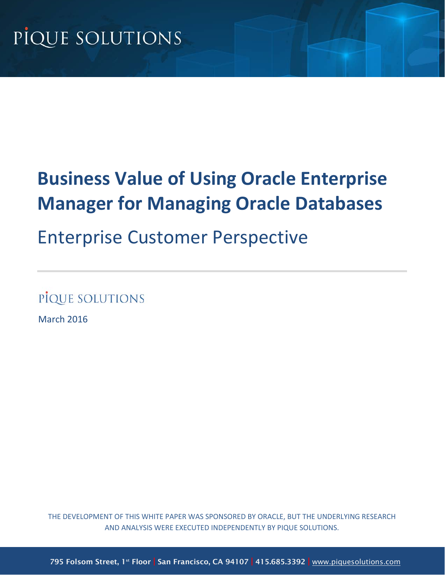# **Business Value of Using Oracle Enterprise Manager for Managing Oracle Databases**

## Enterprise Customer Perspective

PIQUE SOLUTIONS

<span id="page-0-0"></span>March 2016

THE DEVELOPMENT OF THIS WHITE PAPER WAS SPONSORED BY ORACLE, BUT THE UNDERLYING RESEARCH AND ANALYSIS WERE EXECUTED INDEPENDENTLY BY PIQUE SOLUTIONS.

795 Folsom Street, 1<sup>st</sup> Floor | San Francisco, CA 94107 | 415.685.3392 | www.piquesolutions.com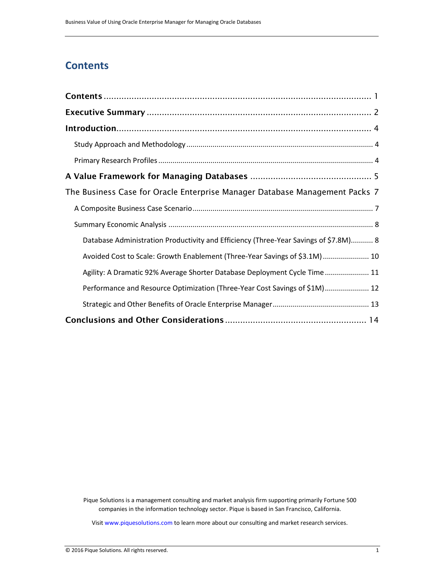## **Contents**

| The Business Case for Oracle Enterprise Manager Database Management Packs 7          |  |
|--------------------------------------------------------------------------------------|--|
|                                                                                      |  |
|                                                                                      |  |
| Database Administration Productivity and Efficiency (Three-Year Savings of \$7.8M) 8 |  |
| Avoided Cost to Scale: Growth Enablement (Three-Year Savings of \$3.1M) 10           |  |
| Agility: A Dramatic 92% Average Shorter Database Deployment Cycle Time 11            |  |
| Performance and Resource Optimization (Three-Year Cost Savings of \$1M) 12           |  |
|                                                                                      |  |
|                                                                                      |  |

Pique Solutions is a management consulting and market analysis firm supporting primarily Fortune 500 companies in the information technology sector. Pique is based in San Francisco, California.

Visi[t www.piquesolutions.com](http://www.piquesolutions.com/) to learn more about our consulting and market research services.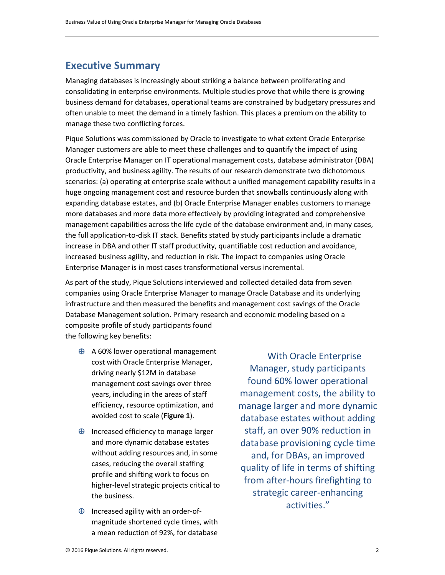## <span id="page-2-0"></span>**Executive Summary**

Managing databases is increasingly about striking a balance between proliferating and consolidating in enterprise environments. Multiple studies prove that while there is growing business demand for databases, operational teams are constrained by budgetary pressures and often unable to meet the demand in a timely fashion. This places a premium on the ability to manage these two conflicting forces.

Pique Solutions was commissioned by Oracle to investigate to what extent Oracle Enterprise Manager customers are able to meet these challenges and to quantify the impact of using Oracle Enterprise Manager on IT operational management costs, database administrator (DBA) productivity, and business agility. The results of our research demonstrate two dichotomous scenarios: (a) operating at enterprise scale without a unified management capability results in a huge ongoing management cost and resource burden that snowballs continuously along with expanding database estates, and (b) Oracle Enterprise Manager enables customers to manage more databases and more data more effectively by providing integrated and comprehensive management capabilities across the life cycle of the database environment and, in many cases, the full application-to-disk IT stack. Benefits stated by study participants include a dramatic increase in DBA and other IT staff productivity, quantifiable cost reduction and avoidance, increased business agility, and reduction in risk. The impact to companies using Oracle Enterprise Manager is in most cases transformational versus incremental.

As part of the study, Pique Solutions interviewed and collected detailed data from seven companies using Oracle Enterprise Manager to manage Oracle Database and its underlying infrastructure and then measured the benefits and management cost savings of the Oracle Database Management solution. Primary research and economic modeling based on a composite profile of study participants found the following key benefits:

- ⊕ A 60% lower operational management cost with Oracle Enterprise Manager, driving nearly \$12M in database management cost savings over three years, including in the areas of staff efficiency, resource optimization, and avoided cost to scale (**Figure 1**).
- ⊕ Increased efficiency to manage larger and more dynamic database estates without adding resources and, in some cases, reducing the overall staffing profile and shifting work to focus on higher-level strategic projects critical to the business.
- ⊕ Increased agility with an order-ofmagnitude shortened cycle times, with a mean reduction of 92%, for database

With Oracle Enterprise Manager, study participants found 60% lower operational management costs, the ability to manage larger and more dynamic database estates without adding staff, an over 90% reduction in database provisioning cycle time and, for DBAs, an improved quality of life in terms of shifting from after-hours firefighting to strategic career-enhancing activities."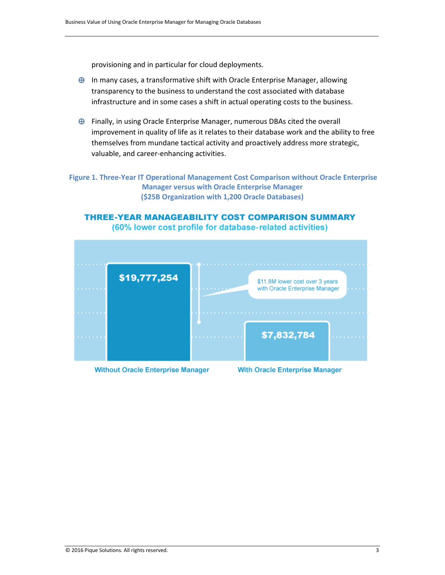provisioning and in particular for cloud deployments.

- ⊕ In many cases, a transformative shift with Oracle Enterprise Manager, allowing transparency to the business to understand the cost associated with database infrastructure and in some cases a shift in actual operating costs to the business.
- ⊕ Finally, in using Oracle Enterprise Manager, numerous DBAs cited the overall improvement in quality of life as it relates to their database work and the ability to free themselves from mundane tactical activity and proactively address more strategic, valuable, and career-enhancing activities.

**Figure 1. Three-Year IT Operational Management Cost Comparison without Oracle Enterprise Manager versus with Oracle Enterprise Manager (\$25B Organization with 1,200 Oracle Databases)**

#### **THREE-YEAR MANAGEABILITY COST COMPARISON SUMMARY** (60% lower cost profile for database-related activities)



**Without Oracle Enterprise Manager** 

**With Oracle Enterprise Manager**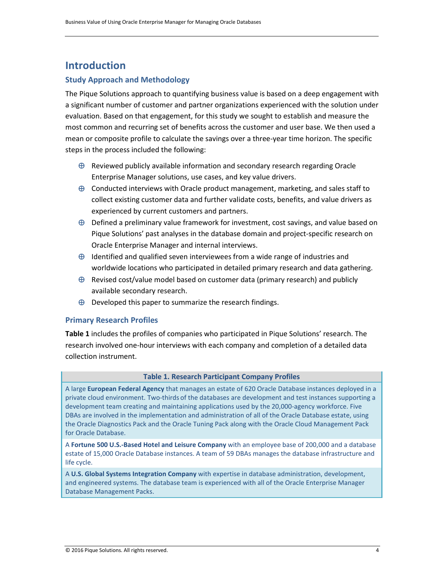## <span id="page-4-0"></span>**Introduction**

#### <span id="page-4-1"></span>**Study Approach and Methodology**

The Pique Solutions approach to quantifying business value is based on a deep engagement with a significant number of customer and partner organizations experienced with the solution under evaluation. Based on that engagement, for this study we sought to establish and measure the most common and recurring set of benefits across the customer and user base. We then used a mean or composite profile to calculate the savings over a three-year time horizon. The specific steps in the process included the following:

- ⊕ Reviewed publicly available information and secondary research regarding Oracle Enterprise Manager solutions, use cases, and key value drivers.
- $\oplus$  Conducted interviews with Oracle product management, marketing, and sales staff to collect existing customer data and further validate costs, benefits, and value drivers as experienced by current customers and partners.
- ⊕ Defined a preliminary value framework for investment, cost savings, and value based on Pique Solutions' past analyses in the database domain and project-specific research on Oracle Enterprise Manager and internal interviews.
- $\oplus$  Identified and qualified seven interviewees from a wide range of industries and worldwide locations who participated in detailed primary research and data gathering.
- ⊕ Revised cost/value model based on customer data (primary research) and publicly available secondary research.
- $\oplus$  Developed this paper to summarize the research findings.

#### <span id="page-4-2"></span>**Primary Research Profiles**

**Table 1** includes the profiles of companies who participated in Pique Solutions' research. The research involved one-hour interviews with each company and completion of a detailed data collection instrument.

#### **Table 1. Research Participant Company Profiles**

A large **European Federal Agency** that manages an estate of 620 Oracle Database instances deployed in a private cloud environment. Two-thirds of the databases are development and test instances supporting a development team creating and maintaining applications used by the 20,000-agency workforce. Five DBAs are involved in the implementation and administration of all of the Oracle Database estate, using the Oracle Diagnostics Pack and the Oracle Tuning Pack along with the Oracle Cloud Management Pack for Oracle Database.

A **Fortune 500 U.S.-Based Hotel and Leisure Company** with an employee base of 200,000 and a database estate of 15,000 Oracle Database instances. A team of 59 DBAs manages the database infrastructure and life cycle.

A **U.S. Global Systems Integration Company** with expertise in database administration, development, and engineered systems. The database team is experienced with all of the Oracle Enterprise Manager Database Management Packs.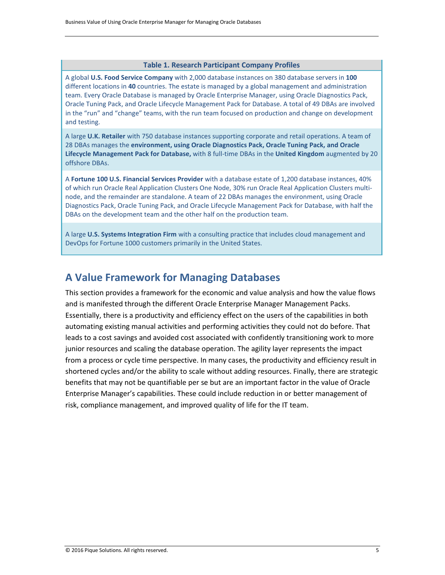#### **Table 1. Research Participant Company Profiles**

A global **U.S. Food Service Company** with 2,000 database instances on 380 database servers in **100** different locations in **40** countries. The estate is managed by a global management and administration team. Every Oracle Database is managed by Oracle Enterprise Manager, using Oracle Diagnostics Pack, Oracle Tuning Pack, and Oracle Lifecycle Management Pack for Database. A total of 49 DBAs are involved in the "run" and "change" teams, with the run team focused on production and change on development and testing.

A large **U.K. Retailer** with 750 database instances supporting corporate and retail operations. A team of 28 DBAs manages the **environment, using Oracle Diagnostics Pack, Oracle Tuning Pack, and Oracle Lifecycle Management Pack for Database,** with 8 full-time DBAs in the **United Kingdom** augmented by 20 offshore DBAs.

A **Fortune 100 U.S. Financial Services Provider** with a database estate of 1,200 database instances, 40% of which run Oracle Real Application Clusters One Node, 30% run Oracle Real Application Clusters multinode, and the remainder are standalone. A team of 22 DBAs manages the environment, using Oracle Diagnostics Pack, Oracle Tuning Pack, and Oracle Lifecycle Management Pack for Database, with half the DBAs on the development team and the other half on the production team.

A large **U.S. Systems Integration Firm** with a consulting practice that includes cloud management and DevOps for Fortune 1000 customers primarily in the United States.

## <span id="page-5-0"></span>**A Value Framework for Managing Databases**

This section provides a framework for the economic and value analysis and how the value flows and is manifested through the different Oracle Enterprise Manager Management Packs. Essentially, there is a productivity and efficiency effect on the users of the capabilities in both automating existing manual activities and performing activities they could not do before. That leads to a cost savings and avoided cost associated with confidently transitioning work to more junior resources and scaling the database operation. The agility layer represents the impact from a process or cycle time perspective. In many cases, the productivity and efficiency result in shortened cycles and/or the ability to scale without adding resources. Finally, there are strategic benefits that may not be quantifiable per se but are an important factor in the value of Oracle Enterprise Manager's capabilities. These could include reduction in or better management of risk, compliance management, and improved quality of life for the IT team.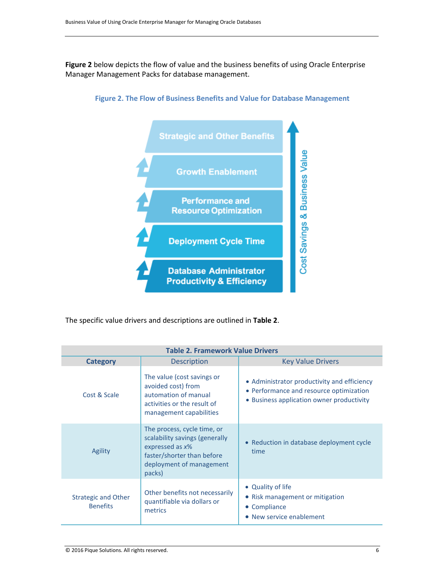**Figure 2** below depicts the flow of value and the business benefits of using Oracle Enterprise Manager Management Packs for database management.





The specific value drivers and descriptions are outlined in **Table 2**.

| <b>Table 2. Framework Value Drivers</b>       |                                                                                                                                                         |                                                                                                                                     |  |  |
|-----------------------------------------------|---------------------------------------------------------------------------------------------------------------------------------------------------------|-------------------------------------------------------------------------------------------------------------------------------------|--|--|
| <b>Category</b>                               | <b>Description</b>                                                                                                                                      | <b>Key Value Drivers</b>                                                                                                            |  |  |
| Cost & Scale                                  | The value (cost savings or<br>avoided cost) from<br>automation of manual<br>activities or the result of<br>management capabilities                      | • Administrator productivity and efficiency<br>• Performance and resource optimization<br>• Business application owner productivity |  |  |
| Agility                                       | The process, cycle time, or<br>scalability savings (generally<br>expressed as $x\%$<br>faster/shorter than before<br>deployment of management<br>packs) | • Reduction in database deployment cycle<br>time                                                                                    |  |  |
| <b>Strategic and Other</b><br><b>Benefits</b> | Other benefits not necessarily<br>quantifiable via dollars or<br>metrics                                                                                | • Quality of life<br>• Risk management or mitigation<br>Compliance<br>$\bullet$<br>• New service enablement                         |  |  |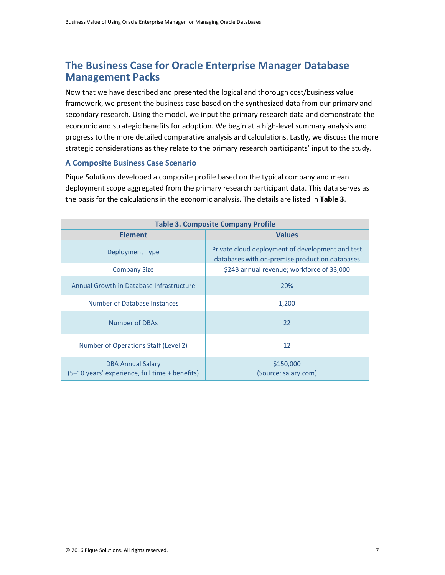## <span id="page-7-0"></span>**The Business Case for Oracle Enterprise Manager Database Management Packs**

Now that we have described and presented the logical and thorough cost/business value framework, we present the business case based on the synthesized data from our primary and secondary research. Using the model, we input the primary research data and demonstrate the economic and strategic benefits for adoption. We begin at a high-level summary analysis and progress to the more detailed comparative analysis and calculations. Lastly, we discuss the more strategic considerations as they relate to the primary research participants' input to the study.

#### <span id="page-7-1"></span>**A Composite Business Case Scenario**

Pique Solutions developed a composite profile based on the typical company and mean deployment scope aggregated from the primary research participant data. This data serves as the basis for the calculations in the economic analysis. The details are listed in **Table 3**.

| <b>Table 3. Composite Company Profile</b>                                  |                                                                                                    |  |  |
|----------------------------------------------------------------------------|----------------------------------------------------------------------------------------------------|--|--|
| <b>Element</b>                                                             | <b>Values</b>                                                                                      |  |  |
| Deployment Type                                                            | Private cloud deployment of development and test<br>databases with on-premise production databases |  |  |
| <b>Company Size</b>                                                        | \$24B annual revenue; workforce of 33,000                                                          |  |  |
| Annual Growth in Database Infrastructure                                   | 20%                                                                                                |  |  |
| Number of Database Instances                                               | 1,200                                                                                              |  |  |
| <b>Number of DBAs</b>                                                      | 22                                                                                                 |  |  |
| Number of Operations Staff (Level 2)                                       | 12                                                                                                 |  |  |
| <b>DBA Annual Salary</b><br>(5–10 years' experience, full time + benefits) | \$150,000<br>(Source: salary.com)                                                                  |  |  |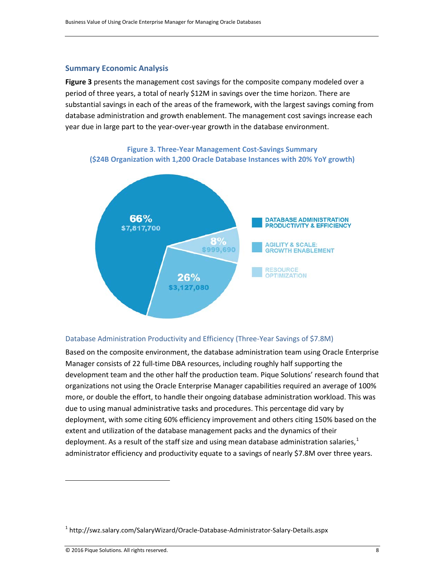#### <span id="page-8-0"></span>**Summary Economic Analysis**

**Figure 3** presents the management cost savings for the composite company modeled over a period of three years, a total of nearly \$12M in savings over the time horizon. There are substantial savings in each of the areas of the framework, with the largest savings coming from database administration and growth enablement. The management cost savings increase each year due in large part to the year-over-year growth in the database environment.



**Figure 3. Three-Year Management Cost-Savings Summary (\$24B Organization with 1,200 Oracle Database Instances with 20% YoY growth)**

#### <span id="page-8-1"></span>Database Administration Productivity and Efficiency (Three-Year Savings of \$7.8M)

Based on the composite environment, the database administration team using Oracle Enterprise Manager consists of 22 full-time DBA resources, including roughly half supporting the development team and the other half the production team. Pique Solutions' research found that organizations not using the Oracle Enterprise Manager capabilities required an average of 100% more, or double the effort, to handle their ongoing database administration workload. This was due to using manual administrative tasks and procedures. This percentage did vary by deployment, with some citing 60% efficiency improvement and others citing 150% based on the extent and utilization of the database management packs and the dynamics of their deployment. As a result of the staff size and using mean database administration salaries,  $^{1}$  $^{1}$  $^{1}$ administrator efficiency and productivity equate to a savings of nearly \$7.8M over three years.

l

<span id="page-8-2"></span><sup>&</sup>lt;sup>1</sup> http://swz.salary.com/SalaryWizard/Oracle-Database-Administrator-Salary-Details.aspx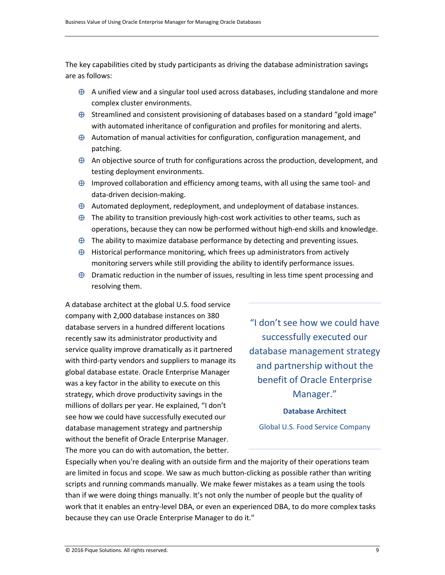The key capabilities cited by study participants as driving the database administration savings are as follows:

- $\oplus$  A unified view and a singular tool used across databases, including standalone and more complex cluster environments.
- ⊕ Streamlined and consistent provisioning of databases based on a standard "gold image" with automated inheritance of configuration and profiles for monitoring and alerts.
- $\oplus$  Automation of manual activities for configuration, configuration management, and patching.
- $\oplus$  An objective source of truth for configurations across the production, development, and testing deployment environments.
- $\oplus$  Improved collaboration and efficiency among teams, with all using the same tool- and data-driven decision-making.
- ⊕ Automated deployment, redeployment, and undeployment of database instances.
- $\oplus$  The ability to transition previously high-cost work activities to other teams, such as operations, because they can now be performed without high-end skills and knowledge.
- $\oplus$  The ability to maximize database performance by detecting and preventing issues.
- ⊕ Historical performance monitoring, which frees up administrators from actively monitoring servers while still providing the ability to identify performance issues.
- ⊕ Dramatic reduction in the number of issues, resulting in less time spent processing and resolving them.

A database architect at the global U.S. food service company with 2,000 database instances on 380 database servers in a hundred different locations recently saw its administrator productivity and service quality improve dramatically as it partnered with third-party vendors and suppliers to manage its global database estate. Oracle Enterprise Manager was a key factor in the ability to execute on this strategy, which drove productivity savings in the millions of dollars per year. He explained, "I don't see how we could have successfully executed our database management strategy and partnership without the benefit of Oracle Enterprise Manager. The more you can do with automation, the better.

"I don't see how we could have successfully executed our database management strategy and partnership without the benefit of Oracle Enterprise Manager."

#### **Database Architect**

Global U.S. Food Service Company

Especially when you're dealing with an outside firm and the majority of their operations team are limited in focus and scope. We saw as much button-clicking as possible rather than writing scripts and running commands manually. We make fewer mistakes as a team using the tools than if we were doing things manually. It's not only the number of people but the quality of work that it enables an entry-level DBA, or even an experienced DBA, to do more complex tasks because they can use Oracle Enterprise Manager to do it."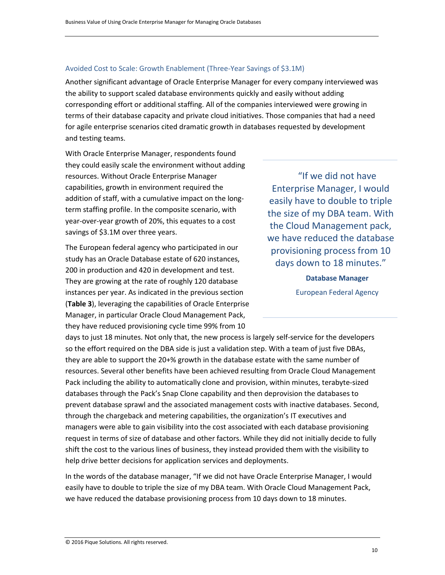#### <span id="page-10-0"></span>Avoided Cost to Scale: Growth Enablement (Three-Year Savings of \$3.1M)

Another significant advantage of Oracle Enterprise Manager for every company interviewed was the ability to support scaled database environments quickly and easily without adding corresponding effort or additional staffing. All of the companies interviewed were growing in terms of their database capacity and private cloud initiatives. Those companies that had a need for agile enterprise scenarios cited dramatic growth in databases requested by development and testing teams.

With Oracle Enterprise Manager, respondents found they could easily scale the environment without adding resources. Without Oracle Enterprise Manager capabilities, growth in environment required the addition of staff, with a cumulative impact on the longterm staffing profile. In the composite scenario, with year-over-year growth of 20%, this equates to a cost savings of \$3.1M over three years.

The European federal agency who participated in our study has an Oracle Database estate of 620 instances, 200 in production and 420 in development and test. They are growing at the rate of roughly 120 database instances per year. As indicated in the previous section (**Table 3**), leveraging the capabilities of Oracle Enterprise Manager, in particular Oracle Cloud Management Pack, they have reduced provisioning cycle time 99% from 10

"If we did not have Enterprise Manager, I would easily have to double to triple the size of my DBA team. With the Cloud Management pack, we have reduced the database provisioning process from 10 days down to 18 minutes."

> **Database Manager** European Federal Agency

days to just 18 minutes. Not only that, the new process is largely self-service for the developers so the effort required on the DBA side is just a validation step. With a team of just five DBAs, they are able to support the 20+% growth in the database estate with the same number of resources. Several other benefits have been achieved resulting from Oracle Cloud Management Pack including the ability to automatically clone and provision, within minutes, terabyte-sized databases through the Pack's Snap Clone capability and then deprovision the databases to prevent database sprawl and the associated management costs with inactive databases. Second, through the chargeback and metering capabilities, the organization's IT executives and managers were able to gain visibility into the cost associated with each database provisioning request in terms of size of database and other factors. While they did not initially decide to fully shift the cost to the various lines of business, they instead provided them with the visibility to help drive better decisions for application services and deployments.

In the words of the database manager, "If we did not have Oracle Enterprise Manager, I would easily have to double to triple the size of my DBA team. With Oracle Cloud Management Pack, we have reduced the database provisioning process from 10 days down to 18 minutes.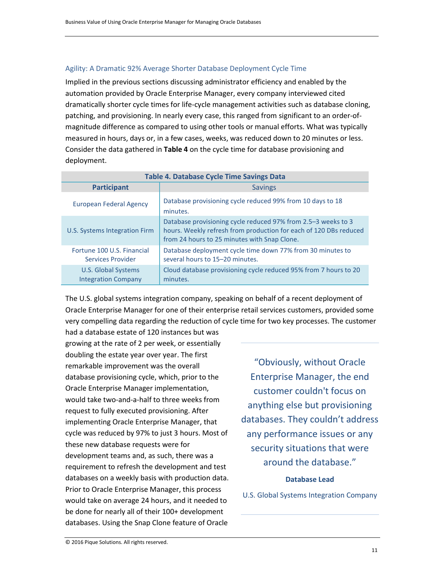#### <span id="page-11-0"></span>Agility: A Dramatic 92% Average Shorter Database Deployment Cycle Time

Implied in the previous sections discussing administrator efficiency and enabled by the automation provided by Oracle Enterprise Manager, every company interviewed cited dramatically shorter cycle times for life-cycle management activities such as database cloning, patching, and provisioning. In nearly every case, this ranged from significant to an order-ofmagnitude difference as compared to using other tools or manual efforts. What was typically measured in hours, days or, in a few cases, weeks, was reduced down to 20 minutes or less. Consider the data gathered in **Table 4** on the cycle time for database provisioning and deployment.

| <b>Table 4. Database Cycle Time Savings Data</b>         |                                                                                                                                                                                    |  |  |  |
|----------------------------------------------------------|------------------------------------------------------------------------------------------------------------------------------------------------------------------------------------|--|--|--|
| <b>Participant</b>                                       | <b>Savings</b>                                                                                                                                                                     |  |  |  |
| European Federal Agency                                  | Database provisioning cycle reduced 99% from 10 days to 18<br>minutes.                                                                                                             |  |  |  |
| U.S. Systems Integration Firm                            | Database provisioning cycle reduced 97% from 2.5–3 weeks to 3<br>hours. Weekly refresh from production for each of 120 DBs reduced<br>from 24 hours to 25 minutes with Snap Clone. |  |  |  |
| Fortune 100 U.S. Financial<br>Services Provider          | Database deployment cycle time down 77% from 30 minutes to<br>several hours to 15-20 minutes.                                                                                      |  |  |  |
| <b>U.S. Global Systems</b><br><b>Integration Company</b> | Cloud database provisioning cycle reduced 95% from 7 hours to 20<br>minutes.                                                                                                       |  |  |  |

The U.S. global systems integration company, speaking on behalf of a recent deployment of Oracle Enterprise Manager for one of their enterprise retail services customers, provided some very compelling data regarding the reduction of cycle time for two key processes. The customer

had a database estate of 120 instances but was growing at the rate of 2 per week, or essentially doubling the estate year over year. The first remarkable improvement was the overall database provisioning cycle, which, prior to the Oracle Enterprise Manager implementation, would take two-and-a-half to three weeks from request to fully executed provisioning. After implementing Oracle Enterprise Manager, that cycle was reduced by 97% to just 3 hours. Most of these new database requests were for development teams and, as such, there was a requirement to refresh the development and test databases on a weekly basis with production data. Prior to Oracle Enterprise Manager, this process would take on average 24 hours, and it needed to be done for nearly all of their 100+ development databases. Using the Snap Clone feature of Oracle

"Obviously, without Oracle Enterprise Manager, the end customer couldn't focus on anything else but provisioning databases. They couldn't address any performance issues or any security situations that were around the database."

#### **Database Lead**

U.S. Global Systems Integration Company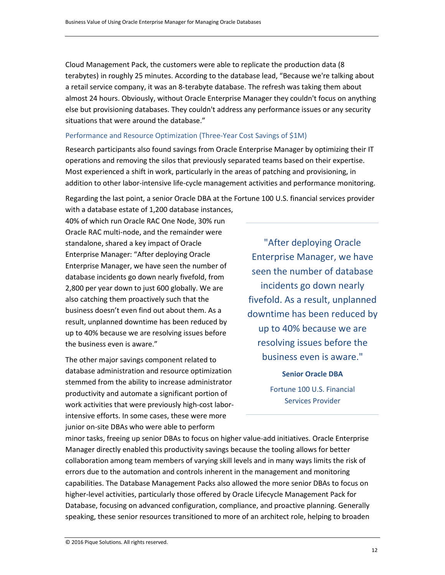Cloud Management Pack, the customers were able to replicate the production data (8 terabytes) in roughly 25 minutes. According to the database lead, "Because we're talking about a retail service company, it was an 8-terabyte database. The refresh was taking them about almost 24 hours. Obviously, without Oracle Enterprise Manager they couldn't focus on anything else but provisioning databases. They couldn't address any performance issues or any security situations that were around the database."

#### <span id="page-12-0"></span>Performance and Resource Optimization (Three-Year Cost Savings of \$1M)

Research participants also found savings from Oracle Enterprise Manager by optimizing their IT operations and removing the silos that previously separated teams based on their expertise. Most experienced a shift in work, particularly in the areas of patching and provisioning, in addition to other labor-intensive life-cycle management activities and performance monitoring.

Regarding the last point, a senior Oracle DBA at the Fortune 100 U.S. financial services provider

with a database estate of 1,200 database instances, 40% of which run Oracle RAC One Node, 30% run Oracle RAC multi-node, and the remainder were standalone, shared a key impact of Oracle Enterprise Manager: "After deploying Oracle Enterprise Manager, we have seen the number of database incidents go down nearly fivefold, from 2,800 per year down to just 600 globally. We are also catching them proactively such that the business doesn't even find out about them. As a result, unplanned downtime has been reduced by up to 40% because we are resolving issues before the business even is aware."

The other major savings component related to database administration and resource optimization stemmed from the ability to increase administrator productivity and automate a significant portion of work activities that were previously high-cost laborintensive efforts. In some cases, these were more junior on-site DBAs who were able to perform

"After deploying Oracle Enterprise Manager, we have seen the number of database incidents go down nearly fivefold. As a result, unplanned downtime has been reduced by up to 40% because we are resolving issues before the business even is aware."

**Senior Oracle DBA**

Fortune 100 U.S. Financial Services Provider

minor tasks, freeing up senior DBAs to focus on higher value-add initiatives. Oracle Enterprise Manager directly enabled this productivity savings because the tooling allows for better collaboration among team members of varying skill levels and in many ways limits the risk of errors due to the automation and controls inherent in the management and monitoring capabilities. The Database Management Packs also allowed the more senior DBAs to focus on higher-level activities, particularly those offered by Oracle Lifecycle Management Pack for Database, focusing on advanced configuration, compliance, and proactive planning. Generally speaking, these senior resources transitioned to more of an architect role, helping to broaden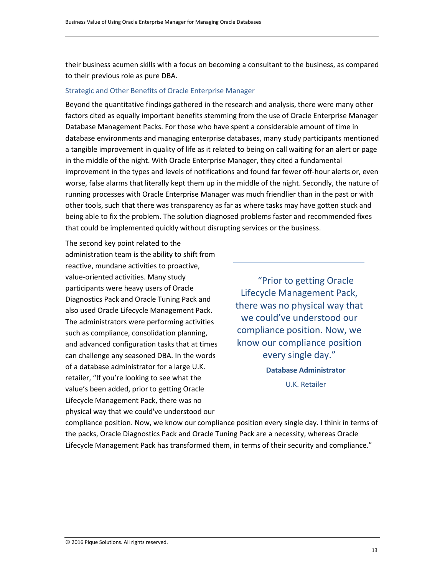their business acumen skills with a focus on becoming a consultant to the business, as compared to their previous role as pure DBA.

#### <span id="page-13-0"></span>Strategic and Other Benefits of Oracle Enterprise Manager

Beyond the quantitative findings gathered in the research and analysis, there were many other factors cited as equally important benefits stemming from the use of Oracle Enterprise Manager Database Management Packs. For those who have spent a considerable amount of time in database environments and managing enterprise databases, many study participants mentioned a tangible improvement in quality of life as it related to being on call waiting for an alert or page in the middle of the night. With Oracle Enterprise Manager, they cited a fundamental improvement in the types and levels of notifications and found far fewer off-hour alerts or, even worse, false alarms that literally kept them up in the middle of the night. Secondly, the nature of running processes with Oracle Enterprise Manager was much friendlier than in the past or with other tools, such that there was transparency as far as where tasks may have gotten stuck and being able to fix the problem. The solution diagnosed problems faster and recommended fixes that could be implemented quickly without disrupting services or the business.

The second key point related to the administration team is the ability to shift from reactive, mundane activities to proactive, value-oriented activities. Many study participants were heavy users of Oracle Diagnostics Pack and Oracle Tuning Pack and also used Oracle Lifecycle Management Pack. The administrators were performing activities such as compliance, consolidation planning, and advanced configuration tasks that at times can challenge any seasoned DBA. In the words of a database administrator for a large U.K. retailer, "If you're looking to see what the value's been added, prior to getting Oracle Lifecycle Management Pack, there was no physical way that we could've understood our

"Prior to getting Oracle Lifecycle Management Pack, there was no physical way that we could've understood our compliance position. Now, we know our compliance position every single day." **Database Administrator** U.K. Retailer

compliance position. Now, we know our compliance position every single day. I think in terms of the packs, Oracle Diagnostics Pack and Oracle Tuning Pack are a necessity, whereas Oracle Lifecycle Management Pack has transformed them, in terms of their security and compliance."